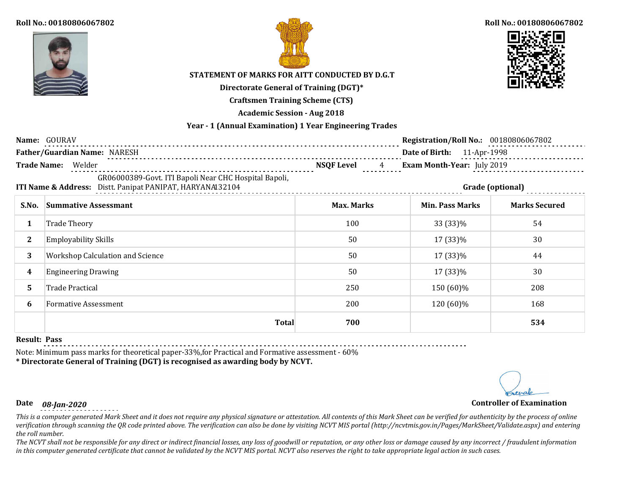



### **Roll No.: 00180806067802**



# **STATEMENT OF MARKS FOR AITT CONDUCTED BY D.G.T**

**Directorate General of Training (DGT)\***

**Craftsmen Training Scheme (CTS)**

**Academic Session - Aug 2018**

## **Year - 1 (Annual Examination) 1 Year Engineering Trades**

|                                                                                                                                        | Name: GOURAV                     |                                     | <b>Registration/Roll No.: 00180806067802</b> |                      |
|----------------------------------------------------------------------------------------------------------------------------------------|----------------------------------|-------------------------------------|----------------------------------------------|----------------------|
|                                                                                                                                        | Father/Guardian Name: NARESH     |                                     | Date of Birth: 11-Apr-1998                   |                      |
| <b>Trade Name:</b>                                                                                                                     | Welder                           | <b>NSQF Level</b><br>$\overline{4}$ | Exam Month-Year: July 2019                   |                      |
| GR06000389-Govt. ITI Bapoli Near CHC Hospital Bapoli,<br>ITI Name & Address: Distt. Panipat PANIPAT, HARYANA132104<br>Grade (optional) |                                  |                                     |                                              |                      |
| S.No.                                                                                                                                  | <b>Summative Assessmant</b>      | <b>Max. Marks</b>                   | <b>Min. Pass Marks</b>                       | <b>Marks Secured</b> |
| 1                                                                                                                                      | <b>Trade Theory</b>              | 100                                 | 33 (33)%                                     | 54                   |
| $\mathbf{2}$                                                                                                                           | <b>Employability Skills</b>      | 50                                  | 17 (33)%                                     | 30                   |
| 3                                                                                                                                      | Workshop Calculation and Science | 50                                  | 17 (33)%                                     | 44                   |
| 4                                                                                                                                      | <b>Engineering Drawing</b>       | 50                                  | 17 (33)%                                     | 30                   |
| 5.                                                                                                                                     | <b>Trade Practical</b>           | 250                                 | 150 (60)%                                    | 208                  |
| 6                                                                                                                                      | <b>Formative Assessment</b>      | 200                                 | 120 (60)%                                    | 168                  |
|                                                                                                                                        | <b>Total</b>                     | 700                                 |                                              | 534                  |

### **Result: Pass**

Note: Minimum pass marks for theoretical paper-33%,for Practical and Formative assessment - 60%

**\* Directorate General of Training (DGT) is recognised as awarding body by NCVT.**

# **Date** *08-Jan-2020* **Controller of Examination**

*This is a computer generated Mark Sheet and it does not require any physical signature or attestation. All contents of this Mark Sheet can be verified for authenticity by the process of online verification through scanning the QR code printed above. The verification can also be done by visiting NCVT MIS portal (http://ncvtmis.gov.in/Pages/MarkSheet/Validate.aspx) and entering the roll number.*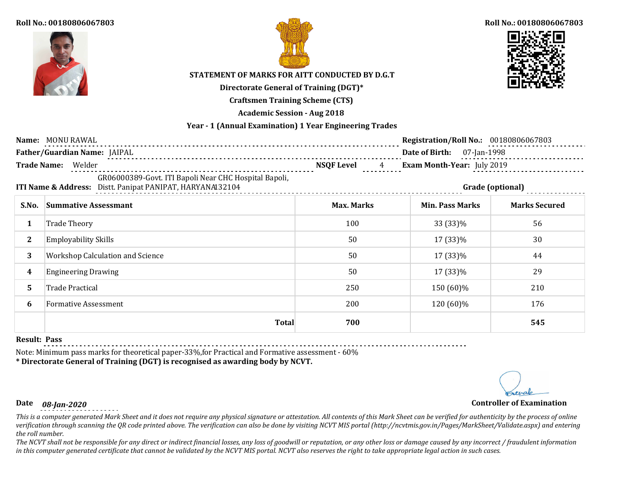



### **Roll No.: 00180806067803**



# **STATEMENT OF MARKS FOR AITT CONDUCTED BY D.G.T**

**Directorate General of Training (DGT)\***

**Craftsmen Training Scheme (CTS)**

**Academic Session - Aug 2018**

## **Year - 1 (Annual Examination) 1 Year Engineering Trades**

|                    | Name: MONU RAWAL                                                                                                                       |                   | Registration/Roll No.: 00180806067803 |                      |
|--------------------|----------------------------------------------------------------------------------------------------------------------------------------|-------------------|---------------------------------------|----------------------|
|                    | Father/Guardian Name: JAIPAL                                                                                                           |                   | Date of Birth:<br>07-Jan-1998         |                      |
| <b>Trade Name:</b> | Welder                                                                                                                                 | <b>NSQF Level</b> | Exam Month-Year: July 2019            |                      |
|                    | GR06000389-Govt. ITI Bapoli Near CHC Hospital Bapoli,<br>ITI Name & Address: Distt. Panipat PANIPAT, HARYANA132104<br>Grade (optional) |                   |                                       |                      |
| S.No.              | <b>Summative Assessmant</b>                                                                                                            | <b>Max. Marks</b> | <b>Min. Pass Marks</b>                | <b>Marks Secured</b> |
| 1                  | <b>Trade Theory</b>                                                                                                                    | 100               | 33 (33)%                              | 56                   |
| $\mathbf{2}$       | <b>Employability Skills</b>                                                                                                            | 50                | 17 (33)%                              | 30                   |
| 3                  | Workshop Calculation and Science                                                                                                       | 50                | 17 (33)%                              | 44                   |
| 4                  | <b>Engineering Drawing</b>                                                                                                             | 50                | 17 (33)%                              | 29                   |
| 5.                 | <b>Trade Practical</b>                                                                                                                 | 250               | 150 (60)%                             | 210                  |
| 6                  | <b>Formative Assessment</b>                                                                                                            | 200               | 120 (60)%                             | 176                  |
|                    | <b>Total</b>                                                                                                                           | 700               |                                       | 545                  |

### **Result: Pass**

Note: Minimum pass marks for theoretical paper-33%,for Practical and Formative assessment - 60%

**\* Directorate General of Training (DGT) is recognised as awarding body by NCVT.**

# **Date** *08-Jan-2020* **Controller of Examination**

*This is a computer generated Mark Sheet and it does not require any physical signature or attestation. All contents of this Mark Sheet can be verified for authenticity by the process of online verification through scanning the QR code printed above. The verification can also be done by visiting NCVT MIS portal (http://ncvtmis.gov.in/Pages/MarkSheet/Validate.aspx) and entering the roll number.*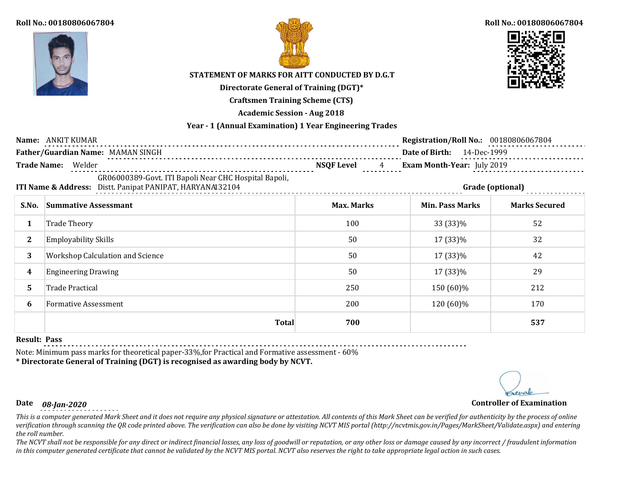



### **Roll No.: 00180806067804**



# **STATEMENT OF MARKS FOR AITT CONDUCTED BY D.G.T**

**Directorate General of Training (DGT)\***

**Craftsmen Training Scheme (CTS)**

**Academic Session - Aug 2018**

## **Year - 1 (Annual Examination) 1 Year Engineering Trades**

|                                                                                      | Name: ANKIT KUMAR                                                                                                  |                   | Registration/Roll No.: 00180806067804 |                      |
|--------------------------------------------------------------------------------------|--------------------------------------------------------------------------------------------------------------------|-------------------|---------------------------------------|----------------------|
|                                                                                      | Father/Guardian Name: MAMAN SINGH                                                                                  |                   | Date of Birth: 14-Dec-1999            |                      |
| <b>Trade Name:</b><br><b>NSQF Level</b><br>Welder<br>Exam Month-Year: July 2019<br>4 |                                                                                                                    |                   |                                       |                      |
|                                                                                      | GR06000389-Govt. ITI Bapoli Near CHC Hospital Bapoli,<br>ITI Name & Address: Distt. Panipat PANIPAT, HARYANA132104 |                   |                                       | Grade (optional)     |
| S.No.                                                                                | <b>Summative Assessmant</b>                                                                                        | <b>Max. Marks</b> | <b>Min. Pass Marks</b>                | <b>Marks Secured</b> |
| 1                                                                                    | <b>Trade Theory</b>                                                                                                | 100               | 33 (33)%                              | 52                   |
| $\mathbf{2}$                                                                         | <b>Employability Skills</b>                                                                                        | 50                | 17 (33)%                              | 32                   |
| 3                                                                                    | <b>Workshop Calculation and Science</b>                                                                            | 50                | 17 (33)%                              | 42                   |
| 4                                                                                    | <b>Engineering Drawing</b>                                                                                         | 50                | 17 (33)%                              | 29                   |
| 5.                                                                                   | <b>Trade Practical</b>                                                                                             | 250               | 150 (60)%                             | 212                  |
| 6                                                                                    | <b>Formative Assessment</b>                                                                                        | 200               | 120 (60)%                             | 170                  |
|                                                                                      | <b>Total</b>                                                                                                       | 700               |                                       | 537                  |

### **Result: Pass**

Note: Minimum pass marks for theoretical paper-33%,for Practical and Formative assessment - 60%

**\* Directorate General of Training (DGT) is recognised as awarding body by NCVT.**

# **Date** *08-Jan-2020* **Controller of Examination**

*This is a computer generated Mark Sheet and it does not require any physical signature or attestation. All contents of this Mark Sheet can be verified for authenticity by the process of online verification through scanning the QR code printed above. The verification can also be done by visiting NCVT MIS portal (http://ncvtmis.gov.in/Pages/MarkSheet/Validate.aspx) and entering the roll number.*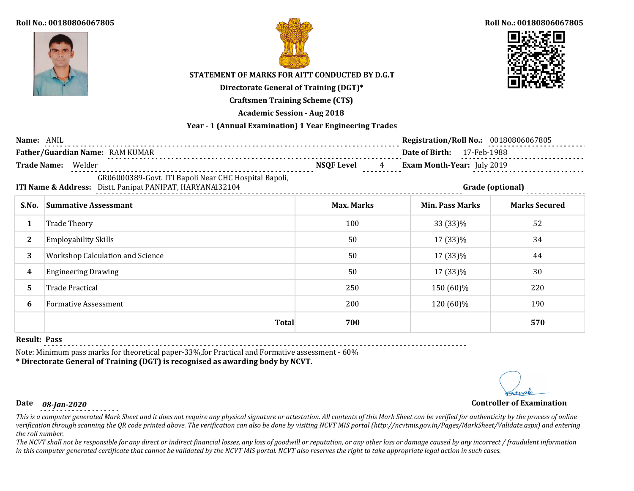



### **Roll No.: 00180806067805**



# **STATEMENT OF MARKS FOR AITT CONDUCTED BY D.G.T**

**Directorate General of Training (DGT)\***

**Craftsmen Training Scheme (CTS)**

**Academic Session - Aug 2018**

## **Year - 1 (Annual Examination) 1 Year Engineering Trades**

| Name: ANIL                                                                                         |                                                                                                                    |                   | <b>Registration/Roll No.: 00180806067805</b> |                      |
|----------------------------------------------------------------------------------------------------|--------------------------------------------------------------------------------------------------------------------|-------------------|----------------------------------------------|----------------------|
|                                                                                                    | Father/Guardian Name: RAM KUMAR                                                                                    |                   | Date of Birth: 17-Feb-1988                   |                      |
| <b>Trade Name:</b><br>Welder<br>Exam Month-Year: July 2019<br><b>NSQF Level</b><br>$4\overline{ }$ |                                                                                                                    |                   |                                              |                      |
|                                                                                                    | GR06000389-Govt. ITI Bapoli Near CHC Hospital Bapoli,<br>ITI Name & Address: Distt. Panipat PANIPAT, HARYANAI32104 |                   |                                              | Grade (optional)     |
| S.No.                                                                                              | <b>Summative Assessmant</b>                                                                                        | <b>Max. Marks</b> | <b>Min. Pass Marks</b>                       | <b>Marks Secured</b> |
|                                                                                                    | <b>Trade Theory</b>                                                                                                | 100               | 33 (33)%                                     | 52                   |
| $\mathbf{2}$                                                                                       | <b>Employability Skills</b>                                                                                        | 50                | 17 (33)%                                     | 34                   |
| 3                                                                                                  | <b>Workshop Calculation and Science</b>                                                                            | 50                | 17 (33)%                                     | 44                   |
| 4                                                                                                  | <b>Engineering Drawing</b>                                                                                         | 50                | 17 (33)%                                     | 30                   |
| 5.                                                                                                 | <b>Trade Practical</b>                                                                                             | 250               | 150 (60)%                                    | 220                  |
| 6                                                                                                  | <b>Formative Assessment</b>                                                                                        | 200               | 120 (60)%                                    | 190                  |
|                                                                                                    | <b>Total</b>                                                                                                       | 700               |                                              | 570                  |

## **Result: Pass**

Note: Minimum pass marks for theoretical paper-33%,for Practical and Formative assessment - 60%

**\* Directorate General of Training (DGT) is recognised as awarding body by NCVT.**

# **Date** *08-Jan-2020* **Controller of Examination**

*This is a computer generated Mark Sheet and it does not require any physical signature or attestation. All contents of this Mark Sheet can be verified for authenticity by the process of online verification through scanning the QR code printed above. The verification can also be done by visiting NCVT MIS portal (http://ncvtmis.gov.in/Pages/MarkSheet/Validate.aspx) and entering the roll number.*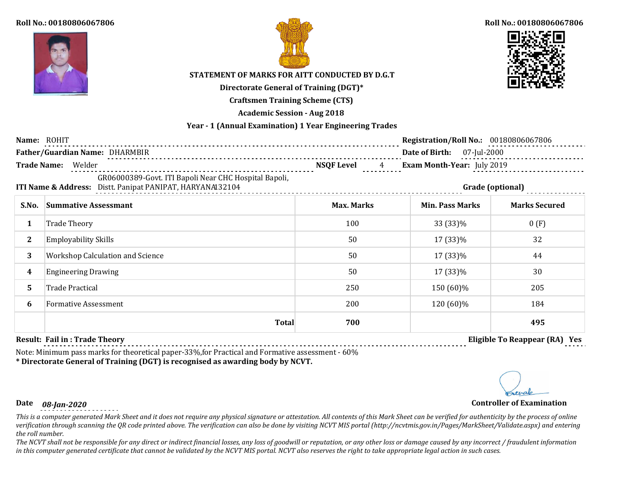



### **Roll No.: 00180806067806**



# **STATEMENT OF MARKS FOR AITT CONDUCTED BY D.G.T**

**Directorate General of Training (DGT)\***

**Craftsmen Training Scheme (CTS)**

**Academic Session - Aug 2018**

## **Year - 1 (Annual Examination) 1 Year Engineering Trades**

| Name: ROHIT                                                                                                                            |                                              |                        | <b>Registration/Roll No.: 00180806067806</b> |                      |
|----------------------------------------------------------------------------------------------------------------------------------------|----------------------------------------------|------------------------|----------------------------------------------|----------------------|
|                                                                                                                                        | Father/Guardian Name: DHARMBIR<br>. <b>.</b> |                        | Date of Birth: 07-Jul-2000                   |                      |
| <b>Trade Name:</b>                                                                                                                     | Welder                                       | <b>NSQF Level</b><br>4 | Exam Month-Year: July 2019                   |                      |
| GR06000389-Govt. ITI Bapoli Near CHC Hospital Bapoli,<br>ITI Name & Address: Distt. Panipat PANIPAT, HARYANA132104<br>Grade (optional) |                                              |                        |                                              |                      |
| S.No.                                                                                                                                  | <b>Summative Assessmant</b>                  | <b>Max. Marks</b>      | <b>Min. Pass Marks</b>                       | <b>Marks Secured</b> |
| 1                                                                                                                                      | <b>Trade Theory</b>                          | 100                    | 33 (33)%                                     | 0(F)                 |
| $\mathbf{2}^{\prime}$                                                                                                                  | <b>Employability Skills</b>                  | 50                     | 17 (33)%                                     | 32                   |
| 3                                                                                                                                      | <b>Workshop Calculation and Science</b>      | 50                     | 17 (33)%                                     | 44                   |
| 4                                                                                                                                      | <b>Engineering Drawing</b>                   | 50                     | 17 (33)%                                     | 30                   |
| 5.                                                                                                                                     | <b>Trade Practical</b>                       | 250                    | 150 (60)%                                    | 205                  |
| 6                                                                                                                                      | <b>Formative Assessment</b>                  | 200                    | 120 (60)%                                    | 184                  |
|                                                                                                                                        | <b>Total</b>                                 | 700                    |                                              | 495                  |

## **Result: Fail in : Trade Theory Eligible To Reappear (RA) Yes**

Note: Minimum pass marks for theoretical paper-33%,for Practical and Formative assessment - 60%

# **\* Directorate General of Training (DGT) is recognised as awarding body by NCVT.**

*This is a computer generated Mark Sheet and it does not require any physical signature or attestation. All contents of this Mark Sheet can be verified for authenticity by the process of online verification through scanning the QR code printed above. The verification can also be done by visiting NCVT MIS portal (http://ncvtmis.gov.in/Pages/MarkSheet/Validate.aspx) and entering the roll number.*

*The NCVT shall not be responsible for any direct or indirect financial losses, any loss of goodwill or reputation, or any other loss or damage caused by any incorrect / fraudulent information in this computer generated certificate that cannot be validated by the NCVT MIS portal. NCVT also reserves the right to take appropriate legal action in such cases.*



**Date** *08-Jan-2020* **Controller of Examination**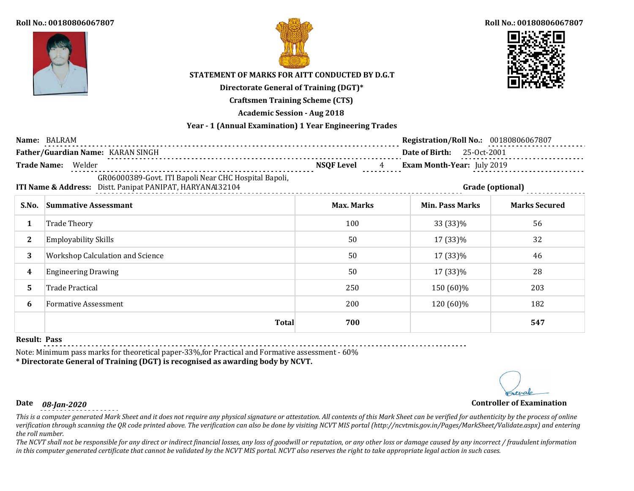



### **Roll No.: 00180806067807**



# **STATEMENT OF MARKS FOR AITT CONDUCTED BY D.G.T**

**Directorate General of Training (DGT)\***

**Craftsmen Training Scheme (CTS)**

**Academic Session - Aug 2018**

## **Year - 1 (Annual Examination) 1 Year Engineering Trades**

|                       | Name: BALRAM                                                                                                       |                        | Registration/Roll No.: 00180806067807 |                      |
|-----------------------|--------------------------------------------------------------------------------------------------------------------|------------------------|---------------------------------------|----------------------|
|                       | Father/Guardian Name: KARAN SINGH                                                                                  |                        | <b>Date of Birth:</b> 25-0ct-2001     |                      |
|                       | Trade Name: Welder                                                                                                 | <b>NSQF Level</b><br>4 | Exam Month-Year: July 2019            |                      |
|                       | GR06000389-Govt. ITI Bapoli Near CHC Hospital Bapoli,<br>ITI Name & Address: Distt. Panipat PANIPAT, HARYANA132104 |                        |                                       | Grade (optional)     |
| S.No.                 | <b>Summative Assessmant</b>                                                                                        | <b>Max. Marks</b>      | <b>Min. Pass Marks</b>                | <b>Marks Secured</b> |
| 1                     | <b>Trade Theory</b>                                                                                                | 100                    | 33 (33)%                              | 56                   |
| $\mathbf{2}^{\prime}$ | <b>Employability Skills</b>                                                                                        | 50                     | 17 (33)%                              | 32                   |
| 3                     | <b>Workshop Calculation and Science</b>                                                                            | 50                     | 17 (33)%                              | 46                   |
| 4                     | <b>Engineering Drawing</b>                                                                                         | 50                     | 17 (33)%                              | 28                   |
| 5.                    | Trade Practical                                                                                                    | 250                    | 150 (60)%                             | 203                  |
| 6                     | <b>Formative Assessment</b>                                                                                        | 200                    | 120 (60)%                             | 182                  |
|                       | <b>Total</b>                                                                                                       | 700                    |                                       | 547                  |

#### **Result: Pass**

Note: Minimum pass marks for theoretical paper-33%,for Practical and Formative assessment - 60%

**\* Directorate General of Training (DGT) is recognised as awarding body by NCVT.**

# **Date** *08-Jan-2020* **Controller of Examination**

*This is a computer generated Mark Sheet and it does not require any physical signature or attestation. All contents of this Mark Sheet can be verified for authenticity by the process of online verification through scanning the QR code printed above. The verification can also be done by visiting NCVT MIS portal (http://ncvtmis.gov.in/Pages/MarkSheet/Validate.aspx) and entering the roll number.*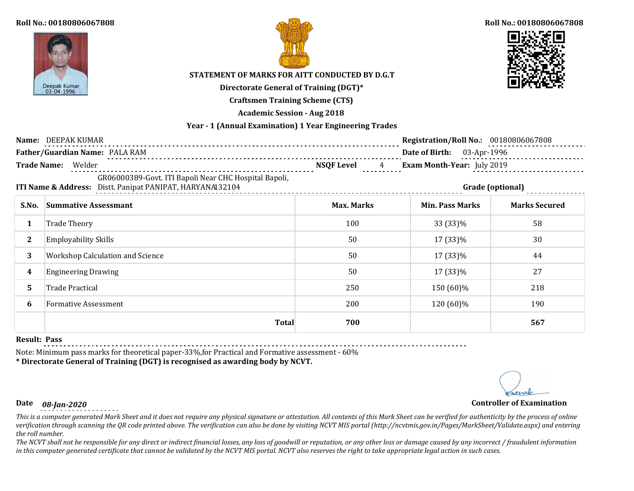



### **Roll No.: 00180806067808**



# **STATEMENT OF MARKS FOR AITT CONDUCTED BY D.G.T**

**Directorate General of Training (DGT)\***

**Craftsmen Training Scheme (CTS)**

**Academic Session - Aug 2018**

## **Year - 1 (Annual Examination) 1 Year Engineering Trades**

|              | Name: DEEPAK KUMAR                                                                                                 |                                      | <b>Registration/Roll No.: 00180806067808</b> |                      |
|--------------|--------------------------------------------------------------------------------------------------------------------|--------------------------------------|----------------------------------------------|----------------------|
|              | Father/Guardian Name: PALA RAM                                                                                     |                                      | Date of Birth: 03-Apr-1996                   |                      |
|              | Trade Name: Welder                                                                                                 | <b>NSQF Level</b><br>$4\overline{ }$ | Exam Month-Year: July 2019                   |                      |
|              | GR06000389-Govt. ITI Bapoli Near CHC Hospital Bapoli,<br>ITI Name & Address: Distt. Panipat PANIPAT, HARYANAI32104 |                                      |                                              | Grade (optional)     |
| S.No.        | <b>Summative Assessmant</b>                                                                                        | <b>Max. Marks</b>                    | <b>Min. Pass Marks</b>                       | <b>Marks Secured</b> |
| 1            | <b>Trade Theory</b>                                                                                                | 100                                  | 33 (33)%                                     | 58                   |
| $\mathbf{2}$ | <b>Employability Skills</b>                                                                                        | 50                                   | 17 (33)%                                     | 30                   |
| 3            | <b>Workshop Calculation and Science</b>                                                                            | 50                                   | 17 (33)%                                     | 44                   |
| 4            | <b>Engineering Drawing</b>                                                                                         | 50                                   | 17 (33)%                                     | 27                   |
| 5            | <b>Trade Practical</b>                                                                                             | 250                                  | 150 (60)%                                    | 218                  |
| 6            | <b>Formative Assessment</b>                                                                                        | 200                                  | 120 (60)%                                    | 190                  |
|              | <b>Total</b>                                                                                                       | 700                                  |                                              | 567                  |

### **Result: Pass**

Note: Minimum pass marks for theoretical paper-33%,for Practical and Formative assessment - 60%

**\* Directorate General of Training (DGT) is recognised as awarding body by NCVT.**

# **Date** *08-Jan-2020* **Controller of Examination**

*This is a computer generated Mark Sheet and it does not require any physical signature or attestation. All contents of this Mark Sheet can be verified for authenticity by the process of online verification through scanning the QR code printed above. The verification can also be done by visiting NCVT MIS portal (http://ncvtmis.gov.in/Pages/MarkSheet/Validate.aspx) and entering the roll number.*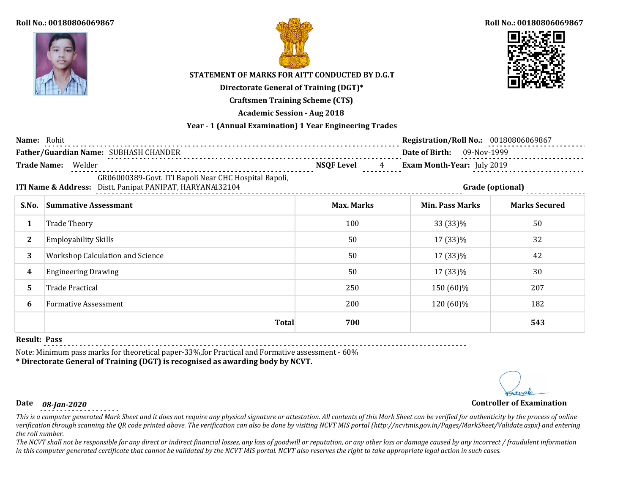



### **Roll No.: 00180806069867**



# **STATEMENT OF MARKS FOR AITT CONDUCTED BY D.G.T**

**Directorate General of Training (DGT)\***

**Craftsmen Training Scheme (CTS)**

**Academic Session - Aug 2018**

## **Year - 1 (Annual Examination) 1 Year Engineering Trades**

| Name: Rohit        |                                                                                                                    |                   | Registration/Roll No.: 00180806069867 |                      |  |
|--------------------|--------------------------------------------------------------------------------------------------------------------|-------------------|---------------------------------------|----------------------|--|
|                    | Father/Guardian Name: SUBHASH CHANDER                                                                              |                   | Date of Birth: 09-Nov-1999            |                      |  |
| <b>Trade Name:</b> | Welder                                                                                                             | <b>NSQF Level</b> | Exam Month-Year: July 2019            |                      |  |
|                    | GR06000389-Govt. ITI Bapoli Near CHC Hospital Bapoli,<br>ITI Name & Address: Distt. Panipat PANIPAT, HARYANA132104 |                   | Grade (optional)                      |                      |  |
| S.No.              | <b>Summative Assessmant</b>                                                                                        | <b>Max. Marks</b> | <b>Min. Pass Marks</b>                | <b>Marks Secured</b> |  |
| 1                  | <b>Trade Theory</b>                                                                                                | 100               | 33 (33)%                              | 50                   |  |
| $\mathbf{2}$       | <b>Employability Skills</b>                                                                                        | 50                | 17 (33)%                              | 32                   |  |
| 3                  | Workshop Calculation and Science                                                                                   | 50                | 17 (33)%                              | 42                   |  |
| 4                  | <b>Engineering Drawing</b>                                                                                         | 50                | 17 (33)%                              | 30                   |  |
| 5.                 | <b>Trade Practical</b>                                                                                             | 250               | 150 (60)%                             | 207                  |  |
| 6                  | <b>Formative Assessment</b>                                                                                        | 200               | 120 (60)%                             | 182                  |  |
|                    | <b>Total</b>                                                                                                       | 700               |                                       | 543                  |  |

### **Result: Pass**

Note: Minimum pass marks for theoretical paper-33%,for Practical and Formative assessment - 60%

**\* Directorate General of Training (DGT) is recognised as awarding body by NCVT.**

# **Date** *08-Jan-2020* **Controller of Examination**

*This is a computer generated Mark Sheet and it does not require any physical signature or attestation. All contents of this Mark Sheet can be verified for authenticity by the process of online verification through scanning the QR code printed above. The verification can also be done by visiting NCVT MIS portal (http://ncvtmis.gov.in/Pages/MarkSheet/Validate.aspx) and entering the roll number.*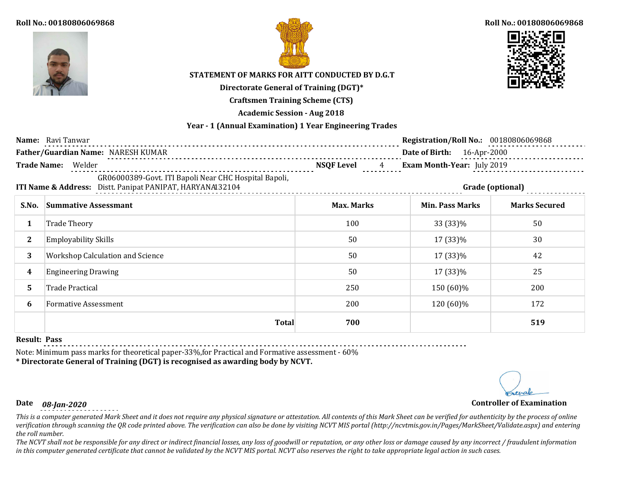

### **Roll No.: 00180806069868**





# **STATEMENT OF MARKS FOR AITT CONDUCTED BY D.G.T**

**Directorate General of Training (DGT)\***

**Craftsmen Training Scheme (CTS)**

**Academic Session - Aug 2018**

## **Year - 1 (Annual Examination) 1 Year Engineering Trades**

|              | <b>Name:</b> Ravi Tanwar                                                                                           |                                     | Registration/Roll No.: 00180806069868 |                      |
|--------------|--------------------------------------------------------------------------------------------------------------------|-------------------------------------|---------------------------------------|----------------------|
|              | Father/Guardian Name: NARESH KUMAR<br>-----------------------------------                                          |                                     | Date of Birth: 16-Apr-2000            |                      |
|              | Trade Name: Welder                                                                                                 | <b>NSQF Level</b><br>$\overline{4}$ | Exam Month-Year: July 2019            |                      |
|              | GR06000389-Govt. ITI Bapoli Near CHC Hospital Bapoli,<br>ITI Name & Address: Distt. Panipat PANIPAT, HARYANA132104 |                                     |                                       | Grade (optional)     |
| S.No.        | <b>Summative Assessmant</b>                                                                                        | <b>Max. Marks</b>                   | <b>Min. Pass Marks</b>                | <b>Marks Secured</b> |
| 1            | <b>Trade Theory</b>                                                                                                | 100                                 | 33 (33)%                              | 50                   |
| $\mathbf{2}$ | <b>Employability Skills</b>                                                                                        | 50                                  | 17 (33)%                              | 30                   |
| 3            | Workshop Calculation and Science                                                                                   | 50                                  | 17 (33)%                              | 42                   |
| 4            | <b>Engineering Drawing</b>                                                                                         | 50                                  | 17 (33)%                              | 25                   |
| 5.           | <b>Trade Practical</b>                                                                                             | 250                                 | 150 (60)%                             | 200                  |
| 6            | <b>Formative Assessment</b>                                                                                        | 200                                 | 120 (60)%                             | 172                  |
|              | <b>Total</b>                                                                                                       | 700                                 |                                       | 519                  |

### **Result: Pass**

Note: Minimum pass marks for theoretical paper-33%,for Practical and Formative assessment - 60%

**\* Directorate General of Training (DGT) is recognised as awarding body by NCVT.**

# **Date** *08-Jan-2020* **Controller of Examination**

*This is a computer generated Mark Sheet and it does not require any physical signature or attestation. All contents of this Mark Sheet can be verified for authenticity by the process of online verification through scanning the QR code printed above. The verification can also be done by visiting NCVT MIS portal (http://ncvtmis.gov.in/Pages/MarkSheet/Validate.aspx) and entering the roll number.*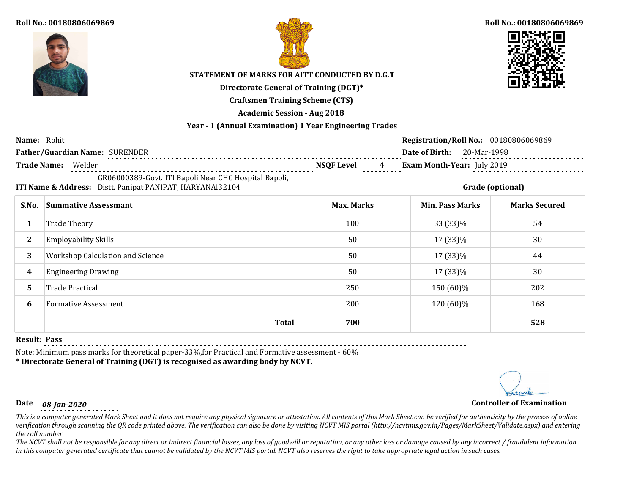



### **Roll No.: 00180806069869**



# **STATEMENT OF MARKS FOR AITT CONDUCTED BY D.G.T**

**Directorate General of Training (DGT)\***

**Craftsmen Training Scheme (CTS)**

**Academic Session - Aug 2018**

## **Year - 1 (Annual Examination) 1 Year Engineering Trades**

| Name: Rohit  |                                                                                                                    |                                    | Registration/Roll No.: 00180806069869 |                      |
|--------------|--------------------------------------------------------------------------------------------------------------------|------------------------------------|---------------------------------------|----------------------|
|              | Father/Guardian Name: SURENDER                                                                                     |                                    | Date of Birth: 20-Mar-1998            |                      |
|              | Trade Name: Welder                                                                                                 | <b>NSQF Level</b><br>$\frac{4}{1}$ | <b>Exam Month-Year:</b> July 2019     |                      |
|              | GR06000389-Govt. ITI Bapoli Near CHC Hospital Bapoli,<br>ITI Name & Address: Distt. Panipat PANIPAT, HARYANAI32104 |                                    |                                       | Grade (optional)     |
| S.No.        | <b>Summative Assessmant</b>                                                                                        | <b>Max. Marks</b>                  | <b>Min. Pass Marks</b>                | <b>Marks Secured</b> |
| 1            | <b>Trade Theory</b>                                                                                                | 100                                | 33 (33)%                              | 54                   |
| $\mathbf{2}$ | <b>Employability Skills</b>                                                                                        | 50                                 | 17 (33)%                              | 30                   |
| 3            | Workshop Calculation and Science                                                                                   | 50                                 | 17 (33)%                              | 44                   |
| 4            | <b>Engineering Drawing</b>                                                                                         | 50                                 | 17 (33)%                              | 30                   |
| 5.           | <b>Trade Practical</b>                                                                                             | 250                                | 150 (60)%                             | 202                  |
| 6            | <b>Formative Assessment</b>                                                                                        | 200                                | 120 (60)%                             | 168                  |
|              | <b>Total</b>                                                                                                       | 700                                |                                       | 528                  |

### **Result: Pass**

Note: Minimum pass marks for theoretical paper-33%,for Practical and Formative assessment - 60%

**\* Directorate General of Training (DGT) is recognised as awarding body by NCVT.**

# **Date** *08-Jan-2020* **Controller of Examination**

*This is a computer generated Mark Sheet and it does not require any physical signature or attestation. All contents of this Mark Sheet can be verified for authenticity by the process of online verification through scanning the QR code printed above. The verification can also be done by visiting NCVT MIS portal (http://ncvtmis.gov.in/Pages/MarkSheet/Validate.aspx) and entering the roll number.*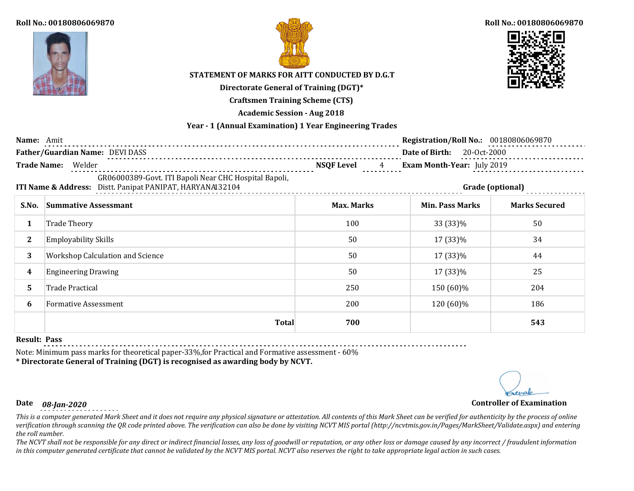



### **Roll No.: 00180806069870**



# **STATEMENT OF MARKS FOR AITT CONDUCTED BY D.G.T**

**Directorate General of Training (DGT)\***

**Craftsmen Training Scheme (CTS)**

**Academic Session - Aug 2018**

## **Year - 1 (Annual Examination) 1 Year Engineering Trades**

| Name: Amit            |                                                                                                                    |                   | Registration/Roll No.: 00180806069870 |                      |
|-----------------------|--------------------------------------------------------------------------------------------------------------------|-------------------|---------------------------------------|----------------------|
|                       | Father/Guardian Name: DEVI DASS                                                                                    |                   | Date of Birth: 20-Oct-2000            |                      |
|                       | Trade Name: Welder                                                                                                 | NSQF Level 4      | <b>Exam Month-Year:</b> July 2019     | .                    |
|                       | GR06000389-Govt. ITI Bapoli Near CHC Hospital Bapoli,<br>ITI Name & Address: Distt. Panipat PANIPAT, HARYANA132104 |                   |                                       | Grade (optional)     |
| S.No.                 | <b>Summative Assessmant</b>                                                                                        | <b>Max. Marks</b> | <b>Min. Pass Marks</b>                | <b>Marks Secured</b> |
| 1                     | <b>Trade Theory</b>                                                                                                | 100               | 33 (33)%                              | 50                   |
| $\mathbf{2}^{\prime}$ | <b>Employability Skills</b>                                                                                        | 50                | 17 (33)%                              | 34                   |
| 3                     | <b>Workshop Calculation and Science</b>                                                                            | 50                | 17 (33)%                              | 44                   |
| 4                     | <b>Engineering Drawing</b>                                                                                         | 50                | 17 (33)%                              | 25                   |
| 5.                    | <b>Trade Practical</b>                                                                                             | 250               | 150 (60)%                             | 204                  |
| 6                     | <b>Formative Assessment</b>                                                                                        | 200               | 120 (60)%                             | 186                  |
|                       | <b>Total</b>                                                                                                       | 700               |                                       | 543                  |

### **Result: Pass**

Note: Minimum pass marks for theoretical paper-33%,for Practical and Formative assessment - 60%

**\* Directorate General of Training (DGT) is recognised as awarding body by NCVT.**

# **Date** *08-Jan-2020* **Controller of Examination**

*This is a computer generated Mark Sheet and it does not require any physical signature or attestation. All contents of this Mark Sheet can be verified for authenticity by the process of online verification through scanning the QR code printed above. The verification can also be done by visiting NCVT MIS portal (http://ncvtmis.gov.in/Pages/MarkSheet/Validate.aspx) and entering the roll number.*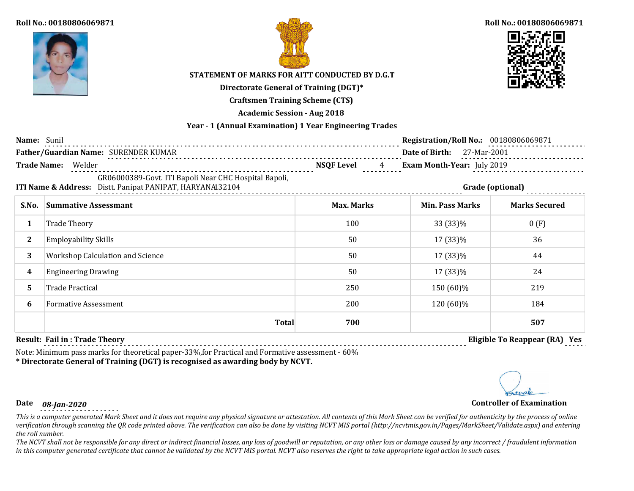



#### **Roll No.: 00180806069871**



# **STATEMENT OF MARKS FOR AITT CONDUCTED BY D.G.T**

**Directorate General of Training (DGT)\***

**Craftsmen Training Scheme (CTS)**

**Academic Session - Aug 2018**

## **Year - 1 (Annual Examination) 1 Year Engineering Trades**

| Name: Sunil        |                                                                                                                    |                        | <b>Registration/Roll No.: 00180806069871</b> |                      |
|--------------------|--------------------------------------------------------------------------------------------------------------------|------------------------|----------------------------------------------|----------------------|
|                    | Father/Guardian Name: SURENDER KUMAR                                                                               |                        | Date of Birth: 27-Mar-2001                   |                      |
| <b>Trade Name:</b> | Welder                                                                                                             | <b>NSQF Level</b><br>4 | Exam Month-Year: July 2019                   |                      |
|                    | GR06000389-Govt. ITI Bapoli Near CHC Hospital Bapoli,<br>ITI Name & Address: Distt. Panipat PANIPAT, HARYANA132104 |                        |                                              | Grade (optional)     |
| S.No.              | <b>Summative Assessmant</b>                                                                                        | <b>Max. Marks</b>      | <b>Min. Pass Marks</b>                       | <b>Marks Secured</b> |
| 1                  | <b>Trade Theory</b>                                                                                                | 100                    | 33 (33)%                                     | 0(F)                 |
| $\mathbf{2}$       | <b>Employability Skills</b>                                                                                        | 50                     | 17 (33)%                                     | 36                   |
| 3                  | <b>Workshop Calculation and Science</b>                                                                            | 50                     | 17 (33)%                                     | 44                   |
| 4                  | <b>Engineering Drawing</b>                                                                                         | 50                     | 17 (33)%                                     | 24                   |
| 5.                 | <b>Trade Practical</b>                                                                                             | 250                    | 150 (60)%                                    | 219                  |
| 6                  | <b>Formative Assessment</b>                                                                                        | 200                    | 120 (60)%                                    | 184                  |
|                    | <b>Total</b>                                                                                                       | 700                    |                                              | 507                  |

**Result: Fail in : Trade Theory Eligible To Reappear (RA) Yes**

Note: Minimum pass marks for theoretical paper-33%,for Practical and Formative assessment - 60%

# **\* Directorate General of Training (DGT) is recognised as awarding body by NCVT.**

# **Date** *08-Jan-2020* **Controller of Examination**

*This is a computer generated Mark Sheet and it does not require any physical signature or attestation. All contents of this Mark Sheet can be verified for authenticity by the process of online verification through scanning the QR code printed above. The verification can also be done by visiting NCVT MIS portal (http://ncvtmis.gov.in/Pages/MarkSheet/Validate.aspx) and entering the roll number.*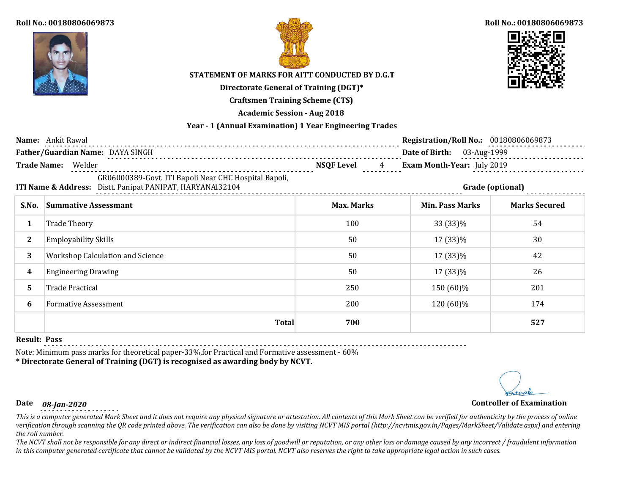



### **Roll No.: 00180806069873**



# **STATEMENT OF MARKS FOR AITT CONDUCTED BY D.G.T**

**Directorate General of Training (DGT)\***

**Craftsmen Training Scheme (CTS)**

**Academic Session - Aug 2018**

## **Year - 1 (Annual Examination) 1 Year Engineering Trades**

|              | Name: Ankit Rawal                                                                                                  |                   | <b>Registration/Roll No.: 00180806069873</b> |                      |
|--------------|--------------------------------------------------------------------------------------------------------------------|-------------------|----------------------------------------------|----------------------|
|              | Father/Guardian Name: DAYA SINGH                                                                                   |                   | Date of Birth: 03-Aug-1999                   |                      |
|              | Exam Month-Year: July 2019<br><b>Trade Name:</b><br>Welder<br><b>NSQF Level</b><br>$\overline{4}$                  |                   |                                              |                      |
|              | GR06000389-Govt. ITI Bapoli Near CHC Hospital Bapoli,<br>ITI Name & Address: Distt. Panipat PANIPAT, HARYANAI32104 |                   |                                              | Grade (optional)     |
| S.No.        | <b>Summative Assessmant</b>                                                                                        | <b>Max. Marks</b> | <b>Min. Pass Marks</b>                       | <b>Marks Secured</b> |
| 1            | <b>Trade Theory</b>                                                                                                | 100               | 33 (33)%                                     | 54                   |
| $\mathbf{2}$ | <b>Employability Skills</b>                                                                                        | 50                | 17 (33)%                                     | 30                   |
| 3            | <b>Workshop Calculation and Science</b>                                                                            | 50                | 17 (33)%                                     | 42                   |
| 4            | <b>Engineering Drawing</b>                                                                                         | 50                | 17 (33)%                                     | 26                   |
| 5.           | <b>Trade Practical</b>                                                                                             | 250               | 150 (60)%                                    | 201                  |
| 6            | <b>Formative Assessment</b>                                                                                        | 200               | 120 (60)%                                    | 174                  |
|              | <b>Total</b>                                                                                                       | 700               |                                              | 527                  |

## **Result: Pass**

Note: Minimum pass marks for theoretical paper-33%,for Practical and Formative assessment - 60%

**\* Directorate General of Training (DGT) is recognised as awarding body by NCVT.**

# **Date** *08-Jan-2020* **Controller of Examination**

*This is a computer generated Mark Sheet and it does not require any physical signature or attestation. All contents of this Mark Sheet can be verified for authenticity by the process of online verification through scanning the QR code printed above. The verification can also be done by visiting NCVT MIS portal (http://ncvtmis.gov.in/Pages/MarkSheet/Validate.aspx) and entering the roll number.*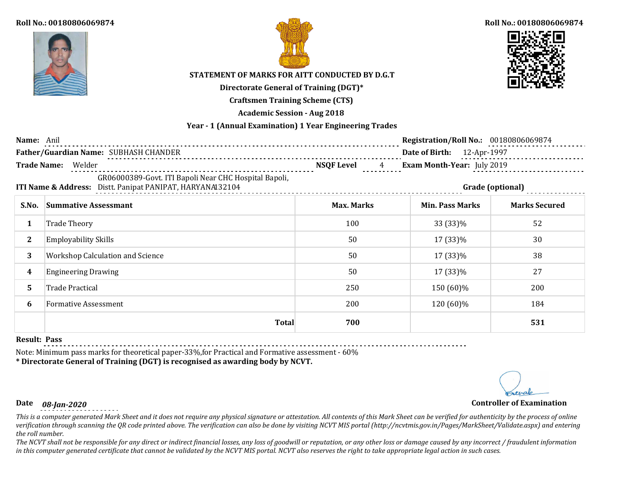



### **Roll No.: 00180806069874**



# **STATEMENT OF MARKS FOR AITT CONDUCTED BY D.G.T**

**Directorate General of Training (DGT)\***

**Craftsmen Training Scheme (CTS)**

**Academic Session - Aug 2018**

## **Year - 1 (Annual Examination) 1 Year Engineering Trades**

| Name: Anil                                                                                                         |                                                                                      |                   | <b>Registration/Roll No.: 00180806069874</b> |                      |  |
|--------------------------------------------------------------------------------------------------------------------|--------------------------------------------------------------------------------------|-------------------|----------------------------------------------|----------------------|--|
|                                                                                                                    | Father/Guardian Name: SUBHASH CHANDER                                                |                   | Date of Birth: 12-Apr-1997                   |                      |  |
|                                                                                                                    | <b>Trade Name:</b><br><b>NSQF Level</b><br>Exam Month-Year: July 2019<br>Welder<br>4 |                   |                                              |                      |  |
| GR06000389-Govt. ITI Bapoli Near CHC Hospital Bapoli,<br>ITI Name & Address: Distt. Panipat PANIPAT, HARYANAI32104 |                                                                                      |                   | Grade (optional)                             |                      |  |
| S.No.                                                                                                              | <b>Summative Assessmant</b>                                                          | <b>Max. Marks</b> | <b>Min. Pass Marks</b>                       | <b>Marks Secured</b> |  |
| 1                                                                                                                  | Trade Theory                                                                         | 100               | 33 (33)%                                     | 52                   |  |
| $\mathbf{2}$                                                                                                       | <b>Employability Skills</b>                                                          | 50                | 17 (33)%                                     | 30                   |  |
| 3                                                                                                                  | Workshop Calculation and Science                                                     | 50                | 17 (33)%                                     | 38                   |  |
| 4                                                                                                                  | <b>Engineering Drawing</b>                                                           | 50                | 17 (33)%                                     | 27                   |  |
| 5.                                                                                                                 | <b>Trade Practical</b>                                                               | 250               | 150 (60)%                                    | 200                  |  |
| 6                                                                                                                  | <b>Formative Assessment</b>                                                          | 200               | 120 (60)%                                    | 184                  |  |
|                                                                                                                    | <b>Total</b>                                                                         | 700               |                                              | 531                  |  |

#### **Result: Pass**

Note: Minimum pass marks for theoretical paper-33%,for Practical and Formative assessment - 60%

**\* Directorate General of Training (DGT) is recognised as awarding body by NCVT.**

# **Date** *08-Jan-2020* **Controller of Examination**

*This is a computer generated Mark Sheet and it does not require any physical signature or attestation. All contents of this Mark Sheet can be verified for authenticity by the process of online verification through scanning the QR code printed above. The verification can also be done by visiting NCVT MIS portal (http://ncvtmis.gov.in/Pages/MarkSheet/Validate.aspx) and entering the roll number.*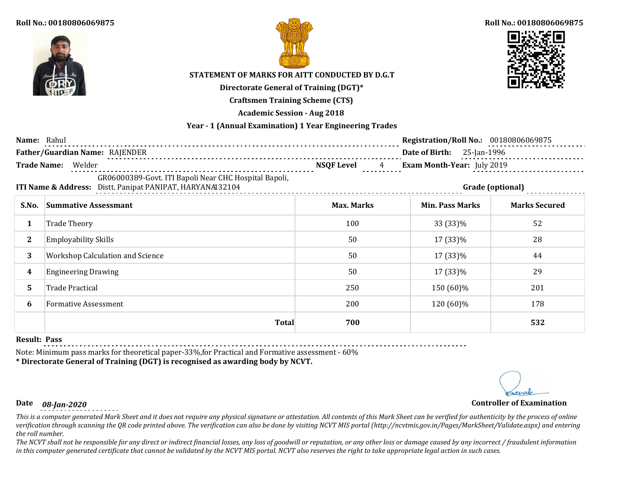



### **Roll No.: 00180806069875**



# **STATEMENT OF MARKS FOR AITT CONDUCTED BY D.G.T**

**Directorate General of Training (DGT)\***

**Craftsmen Training Scheme (CTS)**

**Academic Session - Aug 2018**

## **Year - 1 (Annual Examination) 1 Year Engineering Trades**

| Name: Rahul  |                                                                                                                    |                                           | <b>Registration/Roll No.: 00180806069875</b> |                      |  |
|--------------|--------------------------------------------------------------------------------------------------------------------|-------------------------------------------|----------------------------------------------|----------------------|--|
|              | Father/Guardian Name: RAJENDER                                                                                     |                                           | <b>Date of Birth:</b> 25-Jan-1996            |                      |  |
|              | Trade Name: Welder                                                                                                 | <b>NSQF Level</b><br>$\frac{4}{\sqrt{2}}$ | Exam Month-Year: July 2019                   |                      |  |
|              | GR06000389-Govt. ITI Bapoli Near CHC Hospital Bapoli,<br>ITI Name & Address: Distt. Panipat PANIPAT, HARYANAI32104 |                                           |                                              | Grade (optional)     |  |
| S.No.        | <b>Summative Assessmant</b>                                                                                        | <b>Max. Marks</b>                         | <b>Min. Pass Marks</b>                       | <b>Marks Secured</b> |  |
|              | <b>Trade Theory</b>                                                                                                | 100                                       | 33 (33)%                                     | 52                   |  |
| $\mathbf{2}$ | <b>Employability Skills</b>                                                                                        | 50                                        | 17 (33)%                                     | 28                   |  |
| 3            | <b>Workshop Calculation and Science</b>                                                                            | 50                                        | 17 (33)%                                     | 44                   |  |
| 4            | <b>Engineering Drawing</b>                                                                                         | 50                                        | 17 (33)%                                     | 29                   |  |
| 5.           | Trade Practical                                                                                                    | 250                                       | 150 (60)%                                    | 201                  |  |
| 6            | <b>Formative Assessment</b>                                                                                        | 200                                       | 120 (60)%                                    | 178                  |  |
|              | <b>Total</b>                                                                                                       | 700                                       |                                              | 532                  |  |

#### **Result: Pass**

Note: Minimum pass marks for theoretical paper-33%,for Practical and Formative assessment - 60%

**\* Directorate General of Training (DGT) is recognised as awarding body by NCVT.**

# **Date** *08-Jan-2020* **Controller of Examination**

*This is a computer generated Mark Sheet and it does not require any physical signature or attestation. All contents of this Mark Sheet can be verified for authenticity by the process of online verification through scanning the QR code printed above. The verification can also be done by visiting NCVT MIS portal (http://ncvtmis.gov.in/Pages/MarkSheet/Validate.aspx) and entering the roll number.*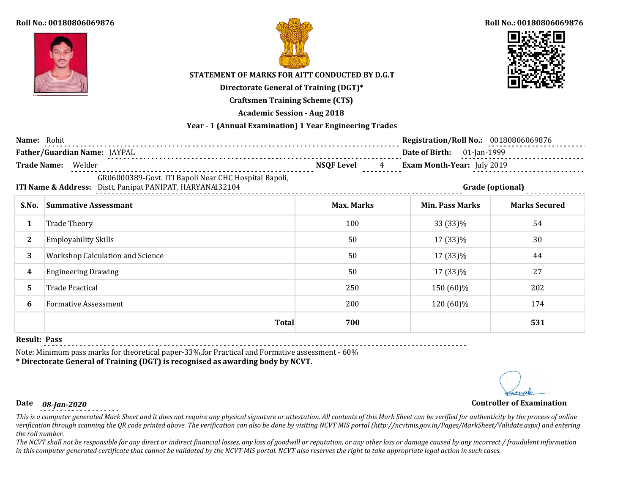



### **Roll No.: 00180806069876**



# **STATEMENT OF MARKS FOR AITT CONDUCTED BY D.G.T**

**Directorate General of Training (DGT)\***

**Craftsmen Training Scheme (CTS)**

**Academic Session - Aug 2018**

## **Year - 1 (Annual Examination) 1 Year Engineering Trades**

| Name: Rohit        |                                                                                                                    |                        | <b>Registration/Roll No.: 00180806069876</b> |                            |  |  |
|--------------------|--------------------------------------------------------------------------------------------------------------------|------------------------|----------------------------------------------|----------------------------|--|--|
|                    | Father/Guardian Name: JAYPAL                                                                                       |                        |                                              | Date of Birth: 01-Jan-1999 |  |  |
| <b>Trade Name:</b> | Welder                                                                                                             | <b>NSQF Level</b><br>4 | Exam Month-Year: July 2019                   |                            |  |  |
|                    | GR06000389-Govt. ITI Bapoli Near CHC Hospital Bapoli,<br>ITI Name & Address: Distt. Panipat PANIPAT, HARYANA132104 | Grade (optional)       |                                              |                            |  |  |
| S.No.              | <b>Summative Assessmant</b>                                                                                        | <b>Max. Marks</b>      | <b>Min. Pass Marks</b>                       | <b>Marks Secured</b>       |  |  |
|                    | <b>Trade Theory</b>                                                                                                | 100                    | 33 (33)%                                     | 54                         |  |  |
| $\mathbf{2}$       | <b>Employability Skills</b>                                                                                        | 50                     | 17 (33)%                                     | 30                         |  |  |
| 3                  | <b>Workshop Calculation and Science</b>                                                                            | 50                     | 17 (33)%                                     | 44                         |  |  |
| 4                  | <b>Engineering Drawing</b>                                                                                         | 50                     | 17 (33)%                                     | 27                         |  |  |
| 5.                 | Trade Practical                                                                                                    | 250                    | 150 (60)%                                    | 202                        |  |  |
| 6                  | <b>Formative Assessment</b>                                                                                        | 200                    | 120 (60)%                                    | 174                        |  |  |
|                    | <b>Total</b>                                                                                                       | 700                    |                                              | 531                        |  |  |

### **Result: Pass**

Note: Minimum pass marks for theoretical paper-33%,for Practical and Formative assessment - 60%

**\* Directorate General of Training (DGT) is recognised as awarding body by NCVT.**

# **Date** *08-Jan-2020* **Controller of Examination**

*This is a computer generated Mark Sheet and it does not require any physical signature or attestation. All contents of this Mark Sheet can be verified for authenticity by the process of online verification through scanning the QR code printed above. The verification can also be done by visiting NCVT MIS portal (http://ncvtmis.gov.in/Pages/MarkSheet/Validate.aspx) and entering the roll number.*